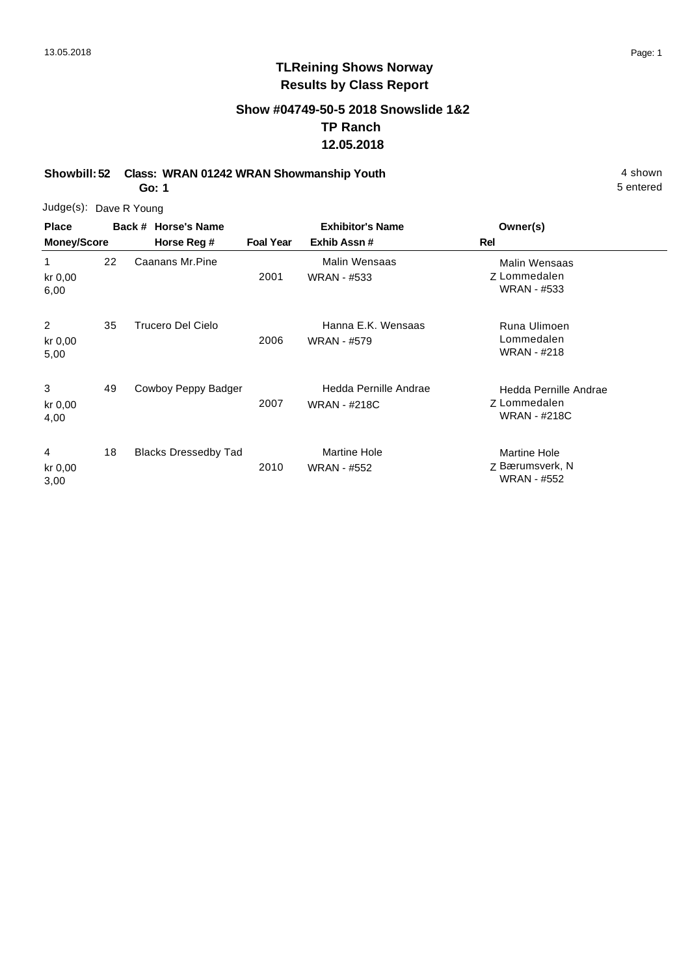1

3

4

### **TLReining Shows Norway Results by Class Report**

### **Show #04749-50-5 2018 Snowslide 1&2 TP Ranch 12.05.2018**

**Showbill: 52 Class: WRAN 01242 WRAN Showmanship Youth** 4 shown

**Go: 1**

Judge(s): Dave R Young **Back # Horse's Name Place Owner(s) Horse Reg # Exhib Assn # Foal Year Rel Exhibitor's Name Money/Score** Z Lommedalen Malin Wensaas WRAN - #533 2001 Caanans Mr.Pine **Malin Wensaas** WRAN - #533 22 kr 0,00 6,00 2 Runa Ulimoen Trucero Del Cielo Hanna E.K. Wensaas Lommedalen WRAN - #218 2006 WRAN - #579 35 kr 0,00 5,00 Z Lommedalen Hedda Pernille Andrae WRAN - #218C 2007 Cowboy Peppy Badger Hedda Pernille Andrae WRAN - #218C 49 kr 0,00 4,00 Z Bærumsverk, N Martine Hole WRAN - #552 2010 Blacks Dressedby Tad Martine Hole WRAN - #552 18 kr 0,00 3,00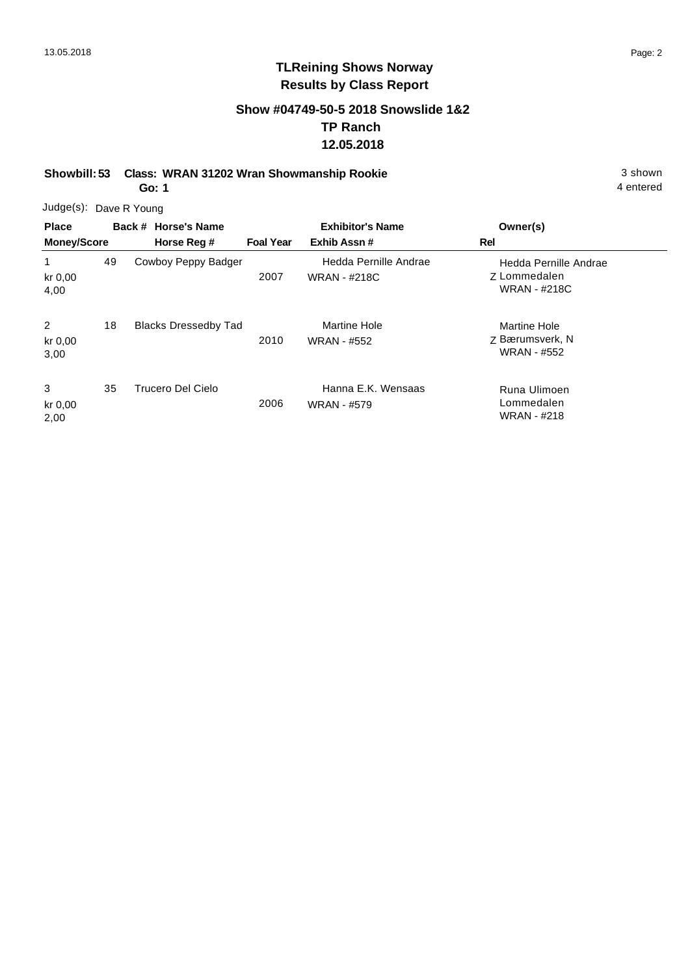### **Show #04749-50-5 2018 Snowslide 1&2 TP Ranch 12.05.2018**

**Showbill: 53 Class: WRAN 31202 Wran Showmanship Rookie** 3 shown

**Go: 1**

4 entered

| <b>Place</b><br><b>Money/Score</b> |    | Back # Horse's Name<br>Horse Reg # | <b>Foal Year</b> | <b>Exhibitor's Name</b><br>Exhib Assn#       | Owner(s)<br><b>Rel</b>                                              |
|------------------------------------|----|------------------------------------|------------------|----------------------------------------------|---------------------------------------------------------------------|
| kr 0,00<br>4,00                    | 49 | Cowboy Peppy Badger                | 2007             | Hedda Pernille Andrae<br><b>WRAN - #218C</b> | Hedda Pernille Andrae<br><b>Z</b> Lommedalen<br><b>WRAN - #218C</b> |
| $\overline{2}$<br>kr 0,00<br>3,00  | 18 | <b>Blacks Dressedby Tad</b>        | 2010             | Martine Hole<br><b>WRAN - #552</b>           | Martine Hole<br>Z Bærumsverk, N<br><b>WRAN - #552</b>               |
| 3<br>kr 0,00<br>2,00               | 35 | Trucero Del Cielo                  | 2006             | Hanna E.K. Wensaas<br><b>WRAN - #579</b>     | Runa Ulimoen<br>Lommedalen<br><b>WRAN - #218</b>                    |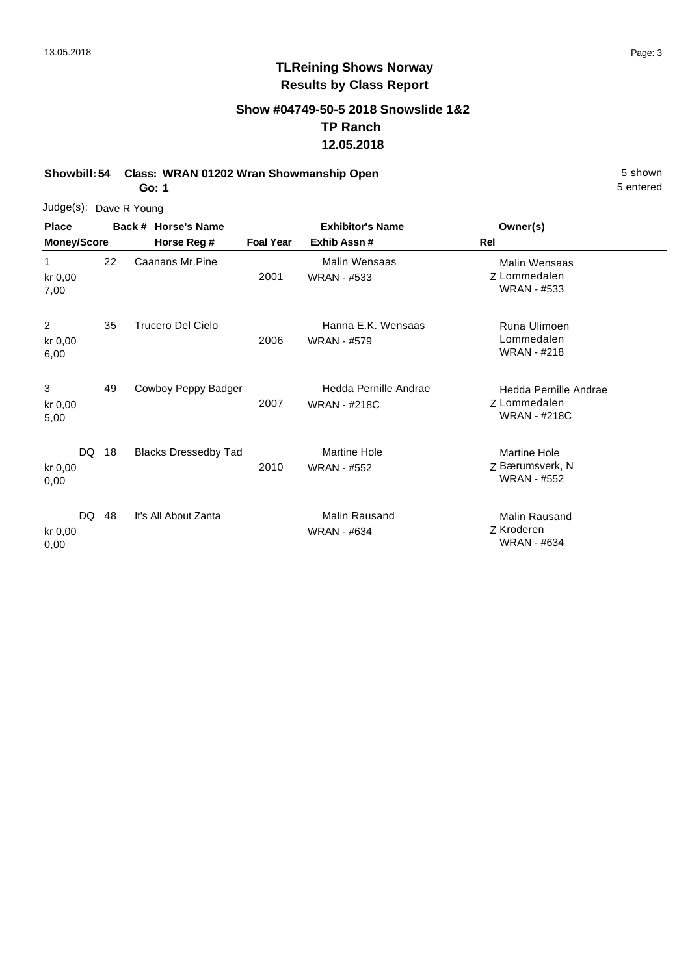### **Show #04749-50-5 2018 Snowslide 1&2 TP Ranch 12.05.2018**

**Showbill: 54 Class: WRAN 01202 Wran Showmanship Open** 5 Shown 5 Shown

**Go: 1**

| Judge(s): Dave R Young |  |
|------------------------|--|
|                        |  |

| <b>Place</b><br><b>Money/Score</b> |    | Back # Horse's Name         | <b>Exhibitor's Name</b> |                                              | Owner(s)                                                     |  |
|------------------------------------|----|-----------------------------|-------------------------|----------------------------------------------|--------------------------------------------------------------|--|
|                                    |    | Horse Reg #                 | <b>Foal Year</b>        | Exhib Assn#                                  | Rel                                                          |  |
| $\mathbf{1}$<br>kr 0,00<br>7,00    | 22 | Caanans Mr.Pine             | 2001                    | Malin Wensaas<br><b>WRAN - #533</b>          | Malin Wensaas<br>Z Lommedalen<br><b>WRAN - #533</b>          |  |
| $\overline{2}$<br>kr 0,00<br>6,00  | 35 | Trucero Del Cielo           | 2006                    | Hanna E.K. Wensaas<br><b>WRAN - #579</b>     | Runa Ulimoen<br>Lommedalen<br>WRAN - #218                    |  |
| 3<br>kr 0,00<br>5,00               | 49 | Cowboy Peppy Badger         | 2007                    | Hedda Pernille Andrae<br><b>WRAN - #218C</b> | Hedda Pernille Andrae<br>Z Lommedalen<br><b>WRAN - #218C</b> |  |
| DQ<br>kr 0,00<br>0,00              | 18 | <b>Blacks Dressedby Tad</b> | 2010                    | <b>Martine Hole</b><br><b>WRAN - #552</b>    | <b>Martine Hole</b><br>Z Bærumsverk, N<br><b>WRAN - #552</b> |  |
| DQ.<br>kr 0,00<br>0,00             | 48 | It's All About Zanta        |                         | <b>Malin Rausand</b><br><b>WRAN - #634</b>   | <b>Malin Rausand</b><br>Z Kroderen<br><b>WRAN - #634</b>     |  |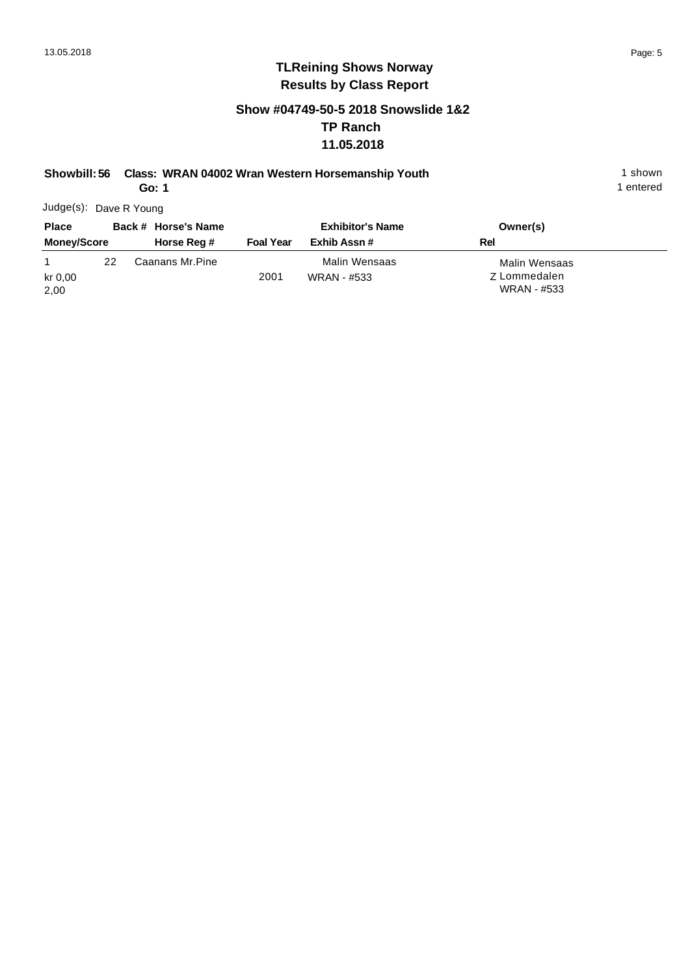### **Show #04749-50-5 2018 Snowslide 1&2 TP Ranch 11.05.2018**

#### **Showbill: 56 Class: WRAN 04002 Wran Western Horsemanship Youth** 1 shown 1 shown

**Go: 1**

1 entered

| <b>Place</b>       |    | Back # Horse's Name |                  | <b>Exhibitor's Name</b> | Owner(s)      |
|--------------------|----|---------------------|------------------|-------------------------|---------------|
| <b>Money/Score</b> |    | Horse Reg #         | <b>Foal Year</b> | Exhib Assn #            | Rel           |
|                    | 22 | Caanans Mr.Pine     |                  | Malin Wensaas           | Malin Wensaas |
| kr 0.00            |    |                     | 2001             | WRAN - #533             | Z Lommedalen  |
| 2,00               |    |                     |                  |                         | WRAN - #533   |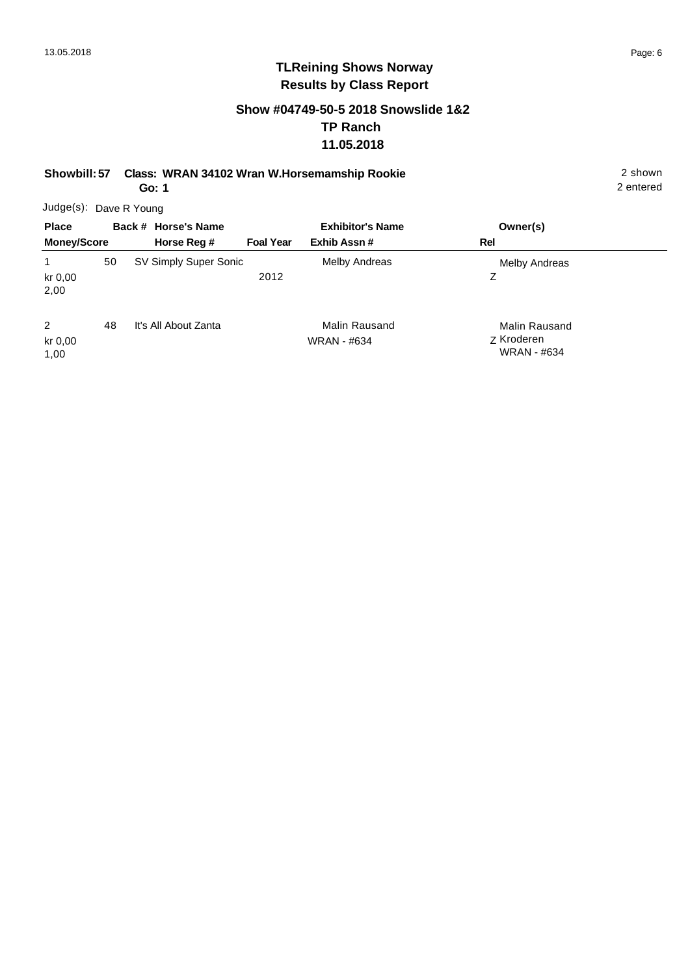2 entered

### **TLReining Shows Norway Results by Class Report**

### **Show #04749-50-5 2018 Snowslide 1&2 TP Ranch 11.05.2018**

**Showbill: 57 Class: WRAN 34102 Wran W.Horsemamship Rookie** 2 shown

**Go: 1**

Judge(s): Dave R Young **Back # Horse's Name Place Owner(s) Horse Reg # Exhib Assn # Foal Year Rel Exhibitor's Name Money/Score** 1 Z Melby Andreas 2012 50 SV Simply Super Sonic Melby Andreas kr 0,00 2,00 2 Z Kroderen Malin Rausand WRAN - #634 It's All About Zanta **Malin Rausand** WRAN - #634 48 kr 0,00 1,00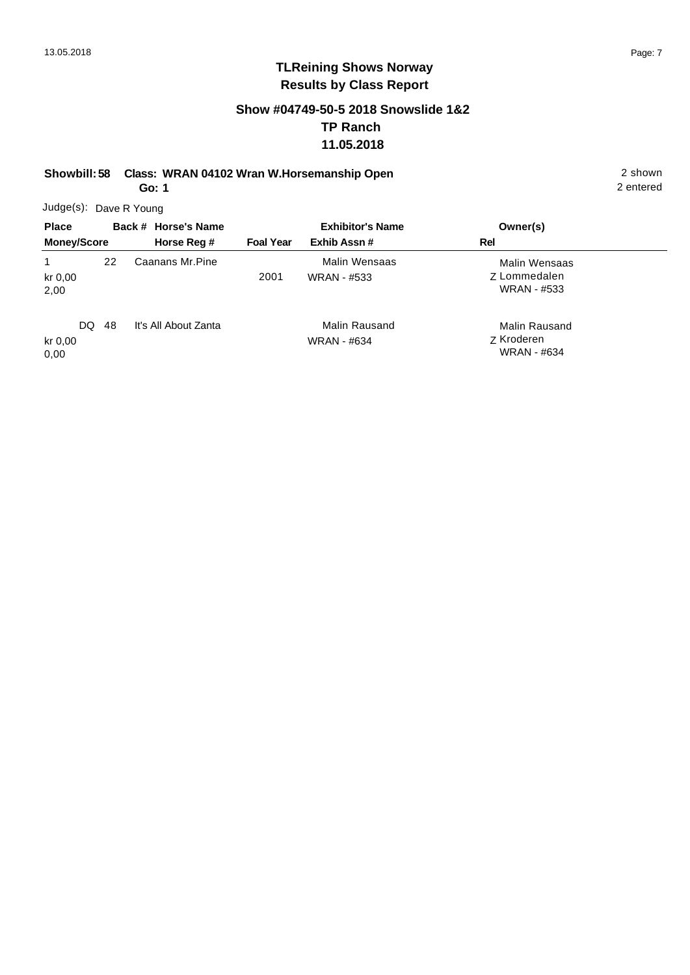### **Show #04749-50-5 2018 Snowslide 1&2 TP Ranch 11.05.2018**

**Showbill: 58 Class: WRAN 04102 Wran W.Horsemanship Open** 2 shown 2 shown

**Go: 1**

2 entered

| <b>Place</b><br><b>Money/Score</b> |       | Back # Horse's Name<br>Horse Reg # | <b>Foal Year</b> | <b>Exhibitor's Name</b><br>Exhib Assn# | Owner(s)<br>Rel                                     |
|------------------------------------|-------|------------------------------------|------------------|----------------------------------------|-----------------------------------------------------|
| kr 0,00<br>2,00                    | 22    | Caanans Mr.Pine                    | 2001             | Malin Wensaas<br><b>WRAN - #533</b>    | Malin Wensaas<br>Z Lommedalen<br><b>WRAN - #533</b> |
| kr 0,00<br>0,00                    | DQ 48 | It's All About Zanta               |                  | Malin Rausand<br><b>WRAN - #634</b>    | Malin Rausand<br>Z Kroderen<br><b>WRAN - #634</b>   |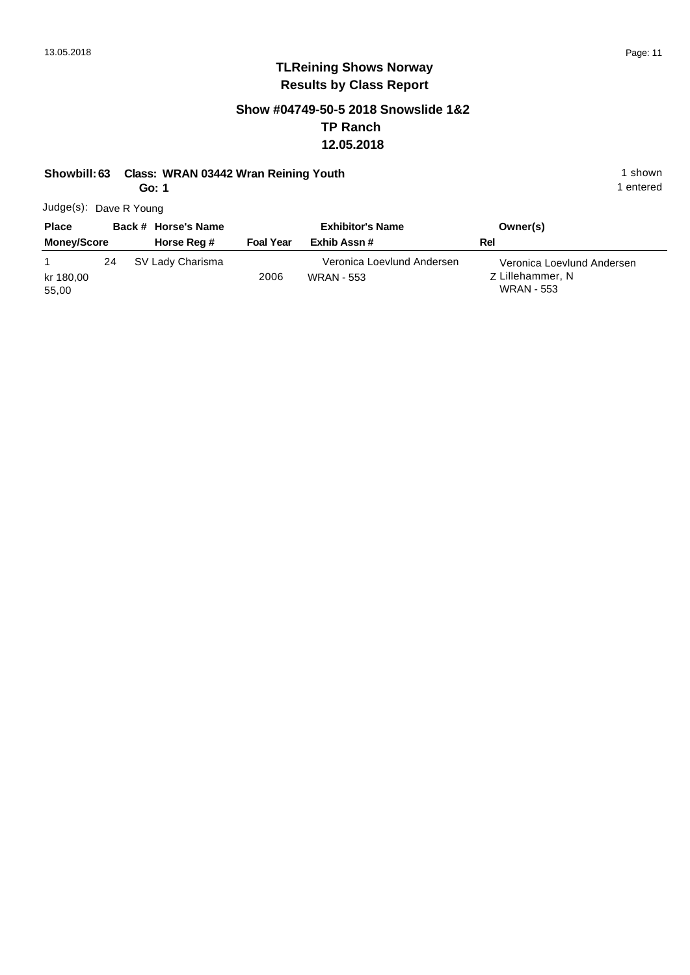### **Show #04749-50-5 2018 Snowslide 1&2 TP Ranch 12.05.2018**

### **Showbill: 63 Class: WRAN 03442 Wran Reining Youth** 1 Shown 1 shown

**Go: 1**

| Judge(s): Dave R Young |
|------------------------|
|                        |

| <b>Place</b>       |    | Back # Horse's Name |                  | <b>Exhibitor's Name</b>                         | Owner(s)                                                            |
|--------------------|----|---------------------|------------------|-------------------------------------------------|---------------------------------------------------------------------|
| <b>Money/Score</b> |    | Horse Reg #         | <b>Foal Year</b> | Exhib Assn #                                    | Rel                                                                 |
| kr 180,00<br>55,00 | 24 | SV Lady Charisma    | 2006             | Veronica Loevlund Andersen<br><b>WRAN - 553</b> | Veronica Loevlund Andersen<br>Z Lillehammer, N<br><b>WRAN - 553</b> |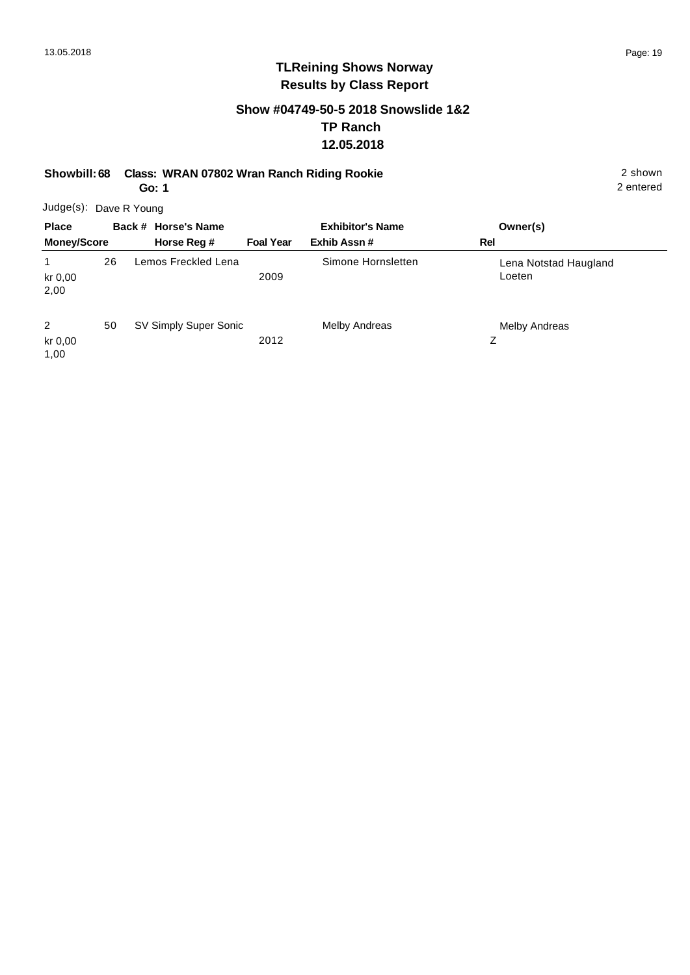### **Show #04749-50-5 2018 Snowslide 1&2 TP Ranch 12.05.2018**

**Showbill: 68 Class: WRAN 07802 Wran Ranch Riding Rookie** 2 shown

**Go: 1**

2 entered

| <b>Place</b>         |    | Back # Horse's Name   |                  | <b>Exhibitor's Name</b> | Owner(s)                        |
|----------------------|----|-----------------------|------------------|-------------------------|---------------------------------|
| <b>Money/Score</b>   |    | Horse Reg #           | <b>Foal Year</b> | Exhib Assn#             | <b>Rel</b>                      |
| 1<br>kr 0,00<br>2,00 | 26 | Lemos Freckled Lena   | 2009             | Simone Hornsletten      | Lena Notstad Haugland<br>Loeten |
| 2<br>kr 0,00<br>1,00 | 50 | SV Simply Super Sonic | 2012             | Melby Andreas           | Melby Andreas<br>Ζ              |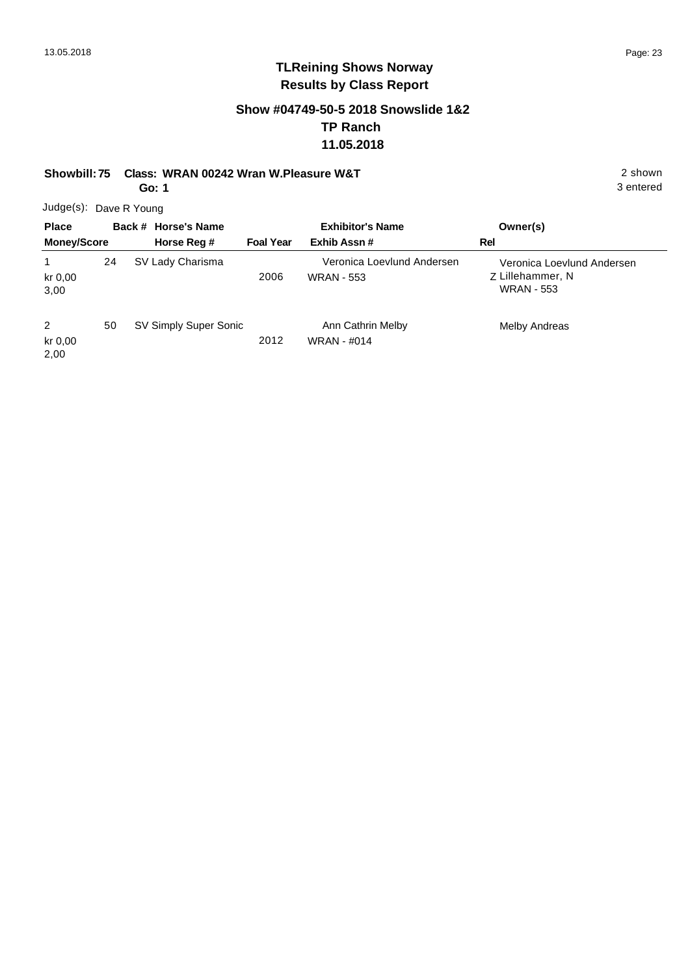3 entered

# **TLReining Shows Norway Results by Class Report**

#### **Show #04749-50-5 2018 Snowslide 1&2 TP Ranch 11.05.2018**

**Showbill: 75 Class: WRAN 00242 Wran W.Pleasure W&T** 2 shown

**Go: 1**

| <b>Place</b>         |    | Back # Horse's Name   |                  | <b>Exhibitor's Name</b>                         | Owner(s)                                                            |
|----------------------|----|-----------------------|------------------|-------------------------------------------------|---------------------------------------------------------------------|
| <b>Money/Score</b>   |    | Horse Reg #           | <b>Foal Year</b> | Exhib Assn#                                     | Rel                                                                 |
| kr 0,00<br>3,00      | 24 | SV Lady Charisma      | 2006             | Veronica Loevlund Andersen<br><b>WRAN - 553</b> | Veronica Loevlund Andersen<br>Z Lillehammer, N<br><b>WRAN - 553</b> |
| 2<br>kr 0,00<br>2,00 | 50 | SV Simply Super Sonic | 2012             | Ann Cathrin Melby<br><b>WRAN - #014</b>         | Melby Andreas                                                       |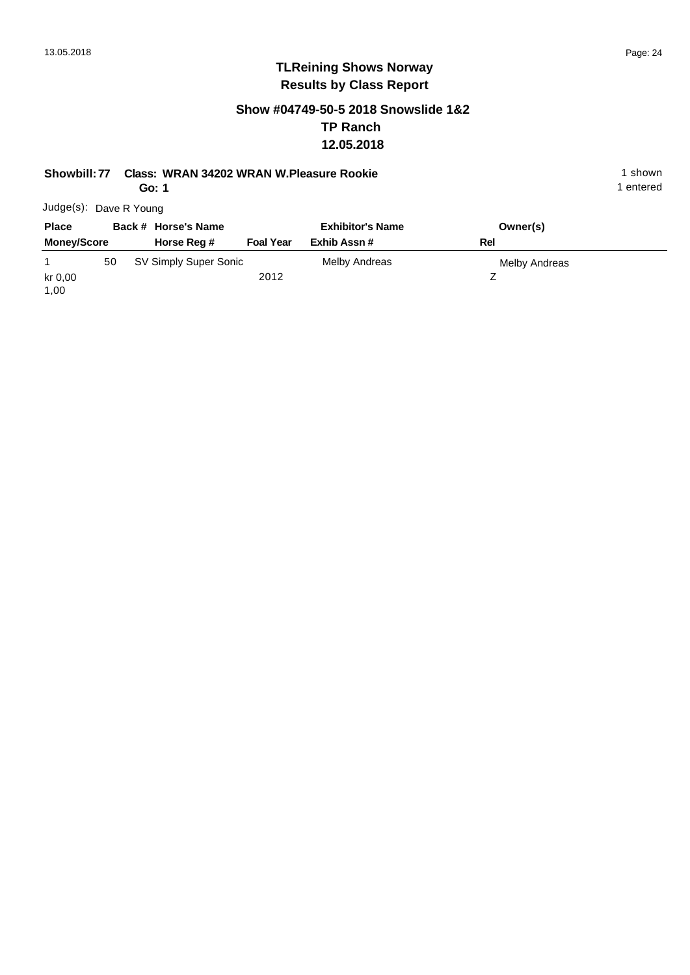### **Show #04749-50-5 2018 Snowslide 1&2 TP Ranch 12.05.2018**

#### **Showbill: 77 Class: WRAN 34202 WRAN W.Pleasure Rookie** 1 Shown 1 shown

**Go: 1**

| Judge(s): Dave R Young |
|------------------------|
|------------------------|

| <b>Place</b>       |    | Back # Horse's Name   |                  | <b>Exhibitor's Name</b> | Owner(s)      |  |
|--------------------|----|-----------------------|------------------|-------------------------|---------------|--|
| <b>Money/Score</b> |    | Horse Reg #           | <b>Foal Year</b> | Exhib Assn #            | Rel           |  |
|                    | 50 | SV Simply Super Sonic |                  | Melby Andreas           | Melby Andreas |  |
| kr 0,00<br>1,00    |    |                       | 2012             |                         |               |  |